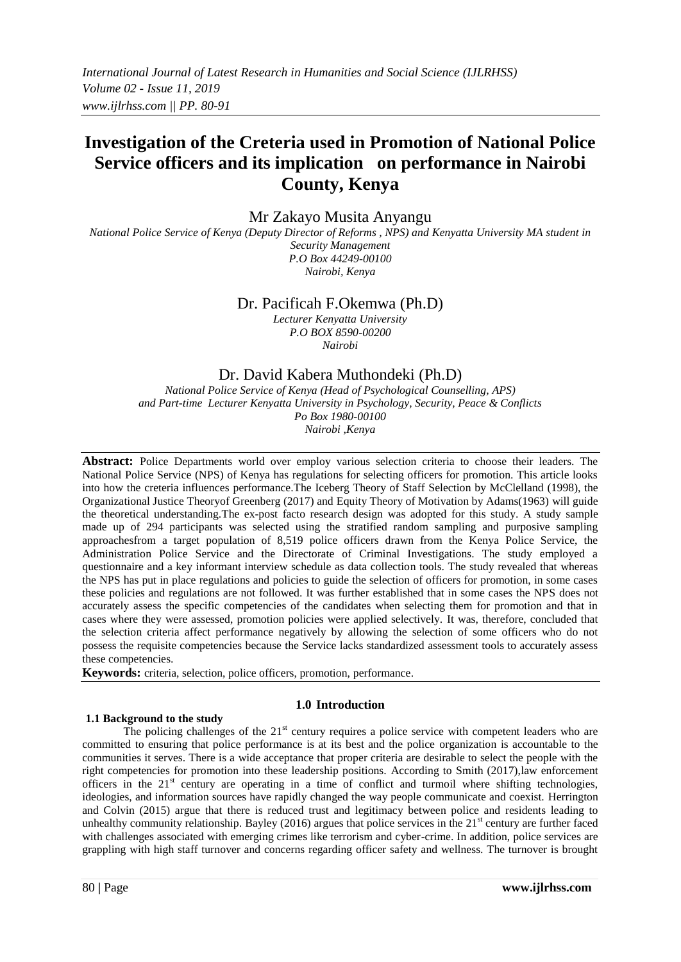# **Investigation of the Creteria used in Promotion of National Police Service officers and its implication on performance in Nairobi County, Kenya**

Mr Zakayo Musita Anyangu

*National Police Service of Kenya (Deputy Director of Reforms , NPS) and Kenyatta University MA student in Security Management P.O Box 44249-00100 Nairobi, Kenya*

> Dr. Pacificah F.Okemwa (Ph.D) *Lecturer Kenyatta University*

*P.O BOX 8590-00200 Nairobi*

# Dr. David Kabera Muthondeki (Ph.D)

*National Police Service of Kenya (Head of Psychological Counselling, APS) and Part-time Lecturer Kenyatta University in Psychology, Security, Peace & Conflicts Po Box 1980-00100 Nairobi ,Kenya*

**Abstract:** Police Departments world over employ various selection criteria to choose their leaders. The National Police Service (NPS) of Kenya has regulations for selecting officers for promotion. This article looks into how the creteria influences performance.The Iceberg Theory of Staff Selection by McClelland (1998), the Organizational Justice Theoryof Greenberg (2017) and Equity Theory of Motivation by Adams(1963) will guide the theoretical understanding.The ex-post facto research design was adopted for this study. A study sample made up of 294 participants was selected using the stratified random sampling and purposive sampling approachesfrom a target population of 8,519 police officers drawn from the Kenya Police Service, the Administration Police Service and the Directorate of Criminal Investigations. The study employed a questionnaire and a key informant interview schedule as data collection tools. The study revealed that whereas the NPS has put in place regulations and policies to guide the selection of officers for promotion, in some cases these policies and regulations are not followed. It was further established that in some cases the NPS does not accurately assess the specific competencies of the candidates when selecting them for promotion and that in cases where they were assessed, promotion policies were applied selectively. It was, therefore, concluded that the selection criteria affect performance negatively by allowing the selection of some officers who do not possess the requisite competencies because the Service lacks standardized assessment tools to accurately assess these competencies.

**Keywords:** criteria, selection, police officers, promotion, performance.

# **1.0 Introduction**

# **1.1 Background to the study**

The policing challenges of the  $21<sup>st</sup>$  century requires a police service with competent leaders who are committed to ensuring that police performance is at its best and the police organization is accountable to the communities it serves. There is a wide acceptance that proper criteria are desirable to select the people with the right competencies for promotion into these leadership positions. According to Smith (2017),law enforcement officers in the 21<sup>st</sup> century are operating in a time of conflict and turmoil where shifting technologies, ideologies, and information sources have rapidly changed the way people communicate and coexist. Herrington and Colvin (2015) argue that there is reduced trust and legitimacy between police and residents leading to unhealthy community relationship. Bayley (2016) argues that police services in the  $21<sup>st</sup>$  century are further faced with challenges associated with emerging crimes like terrorism and cyber-crime. In addition, police services are grappling with high staff turnover and concerns regarding officer safety and wellness. The turnover is brought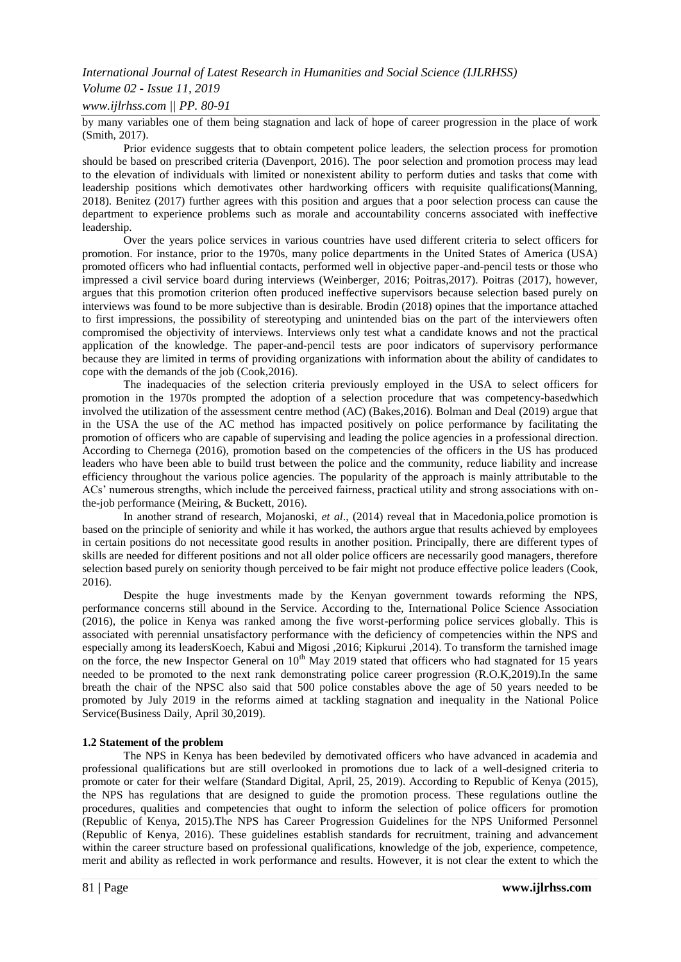# *Volume 02 - Issue 11, 2019*

*www.ijlrhss.com || PP. 80-91*

by many variables one of them being stagnation and lack of hope of career progression in the place of work (Smith, 2017).

Prior evidence suggests that to obtain competent police leaders, the selection process for promotion should be based on prescribed criteria (Davenport, 2016). The poor selection and promotion process may lead to the elevation of individuals with limited or nonexistent ability to perform duties and tasks that come with leadership positions which demotivates other hardworking officers with requisite qualifications(Manning, 2018). Benitez (2017) further agrees with this position and argues that a poor selection process can cause the department to experience problems such as morale and accountability concerns associated with ineffective leadership.

Over the years police services in various countries have used different criteria to select officers for promotion. For instance, prior to the 1970s, many police departments in the United States of America (USA) promoted officers who had influential contacts, performed well in objective paper-and-pencil tests or those who impressed a civil service board during interviews (Weinberger, 2016; Poitras,2017). Poitras (2017), however, argues that this promotion criterion often produced ineffective supervisors because selection based purely on interviews was found to be more subjective than is desirable. Brodin (2018) opines that the importance attached to first impressions, the possibility of stereotyping and unintended bias on the part of the interviewers often compromised the objectivity of interviews. Interviews only test what a candidate knows and not the practical application of the knowledge. The paper-and-pencil tests are poor indicators of supervisory performance because they are limited in terms of providing organizations with information about the ability of candidates to cope with the demands of the job (Cook,2016).

The inadequacies of the selection criteria previously employed in the USA to select officers for promotion in the 1970s prompted the adoption of a selection procedure that was competency-basedwhich involved the utilization of the assessment centre method (AC) (Bakes,2016). Bolman and Deal (2019) argue that in the USA the use of the AC method has impacted positively on police performance by facilitating the promotion of officers who are capable of supervising and leading the police agencies in a professional direction. According to Chernega (2016), promotion based on the competencies of the officers in the US has produced leaders who have been able to build trust between the police and the community, reduce liability and increase efficiency throughout the various police agencies. The popularity of the approach is mainly attributable to the ACs' numerous strengths, which include the perceived fairness, practical utility and strong associations with onthe-job performance (Meiring, & Buckett, 2016).

In another strand of research, Mojanoski, *et al*., (2014) reveal that in Macedonia,police promotion is based on the principle of seniority and while it has worked, the authors argue that results achieved by employees in certain positions do not necessitate good results in another position. Principally, there are different types of skills are needed for different positions and not all older police officers are necessarily good managers, therefore selection based purely on seniority though perceived to be fair might not produce effective police leaders (Cook, 2016).

Despite the huge investments made by the Kenyan government towards reforming the NPS, performance concerns still abound in the Service. According to the, International Police Science Association (2016), the police in Kenya was ranked among the five worst-performing police services globally. This is associated with perennial unsatisfactory performance with the deficiency of competencies within the NPS and especially among its leadersKoech, Kabui and Migosi ,2016; Kipkurui ,2014). To transform the tarnished image on the force, the new Inspector General on 10<sup>th</sup> May 2019 stated that officers who had stagnated for 15 years needed to be promoted to the next rank demonstrating police career progression (R.O.K,2019).In the same breath the chair of the NPSC also said that 500 police constables above the age of 50 years needed to be promoted by July 2019 in the reforms aimed at tackling stagnation and inequality in the National Police Service(Business Daily, April 30,2019).

#### **1.2 Statement of the problem**

The NPS in Kenya has been bedeviled by demotivated officers who have advanced in academia and professional qualifications but are still overlooked in promotions due to lack of a well-designed criteria to promote or cater for their welfare (Standard Digital, April, 25, 2019). According to Republic of Kenya (2015), the NPS has regulations that are designed to guide the promotion process. These regulations outline the procedures, qualities and competencies that ought to inform the selection of police officers for promotion (Republic of Kenya, 2015).The NPS has Career Progression Guidelines for the NPS Uniformed Personnel (Republic of Kenya, 2016). These guidelines establish standards for recruitment, training and advancement within the career structure based on professional qualifications, knowledge of the job, experience, competence, merit and ability as reflected in work performance and results. However, it is not clear the extent to which the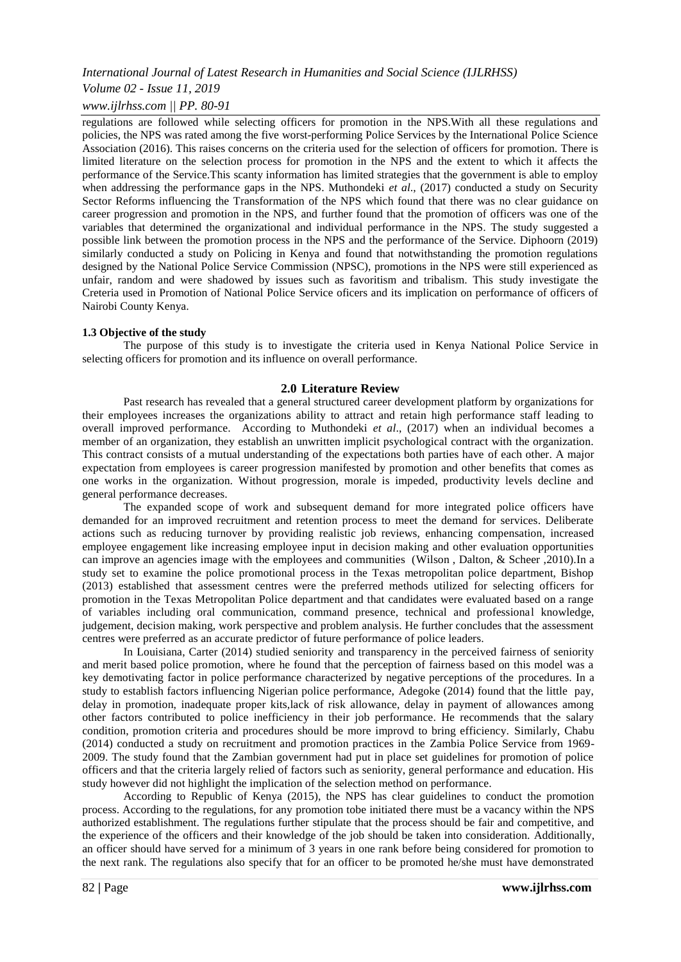# *Volume 02 - Issue 11, 2019*

# *www.ijlrhss.com || PP. 80-91*

regulations are followed while selecting officers for promotion in the NPS.With all these regulations and policies, the NPS was rated among the five worst-performing Police Services by the International Police Science Association (2016). This raises concerns on the criteria used for the selection of officers for promotion. There is limited literature on the selection process for promotion in the NPS and the extent to which it affects the performance of the Service.This scanty information has limited strategies that the government is able to employ when addressing the performance gaps in the NPS. Muthondeki *et al.*, (2017) conducted a study on Security Sector Reforms influencing the Transformation of the NPS which found that there was no clear guidance on career progression and promotion in the NPS, and further found that the promotion of officers was one of the variables that determined the organizational and individual performance in the NPS. The study suggested a possible link between the promotion process in the NPS and the performance of the Service. Diphoorn (2019) similarly conducted a study on Policing in Kenya and found that notwithstanding the promotion regulations designed by the National Police Service Commission (NPSC), promotions in the NPS were still experienced as unfair, random and were shadowed by issues such as favoritism and tribalism. This study investigate the Creteria used in Promotion of National Police Service oficers and its implication on performance of officers of Nairobi County Kenya.

#### **1.3 Objective of the study**

The purpose of this study is to investigate the criteria used in Kenya National Police Service in selecting officers for promotion and its influence on overall performance.

#### **2.0 Literature Review**

Past research has revealed that a general structured career development platform by organizations for their employees increases the organizations ability to attract and retain high performance staff leading to overall improved performance. According to Muthondeki *et al*., (2017) when an individual becomes a member of an organization, they establish an unwritten implicit psychological contract with the organization. This contract consists of a mutual understanding of the expectations both parties have of each other. A major expectation from employees is career progression manifested by promotion and other benefits that comes as one works in the organization. Without progression, morale is impeded, productivity levels decline and general performance decreases.

The expanded scope of work and subsequent demand for more integrated police officers have demanded for an improved recruitment and retention process to meet the demand for services. Deliberate actions such as reducing turnover by providing realistic job reviews, enhancing compensation, increased employee engagement like increasing employee input in decision making and other evaluation opportunities can improve an agencies image with the employees and communities (Wilson , Dalton, & Scheer ,2010).In a study set to examine the police promotional process in the Texas metropolitan police department, Bishop (2013) established that assessment centres were the preferred methods utilized for selecting officers for promotion in the Texas Metropolitan Police department and that candidates were evaluated based on a range of variables including oral communication, command presence, technical and professional knowledge, judgement, decision making, work perspective and problem analysis. He further concludes that the assessment centres were preferred as an accurate predictor of future performance of police leaders.

In Louisiana, Carter (2014) studied seniority and transparency in the perceived fairness of seniority and merit based police promotion, where he found that the perception of fairness based on this model was a key demotivating factor in police performance characterized by negative perceptions of the procedures. In a study to establish factors influencing Nigerian police performance, Adegoke (2014) found that the little pay, delay in promotion, inadequate proper kits,lack of risk allowance, delay in payment of allowances among other factors contributed to police inefficiency in their job performance. He recommends that the salary condition, promotion criteria and procedures should be more improvd to bring efficiency. Similarly, Chabu (2014) conducted a study on recruitment and promotion practices in the Zambia Police Service from 1969- 2009. The study found that the Zambian government had put in place set guidelines for promotion of police officers and that the criteria largely relied of factors such as seniority, general performance and education. His study however did not highlight the implication of the selection method on performance.

According to Republic of Kenya (2015), the NPS has clear guidelines to conduct the promotion process. According to the regulations, for any promotion tobe initiated there must be a vacancy within the NPS authorized establishment. The regulations further stipulate that the process should be fair and competitive, and the experience of the officers and their knowledge of the job should be taken into consideration. Additionally, an officer should have served for a minimum of 3 years in one rank before being considered for promotion to the next rank. The regulations also specify that for an officer to be promoted he/she must have demonstrated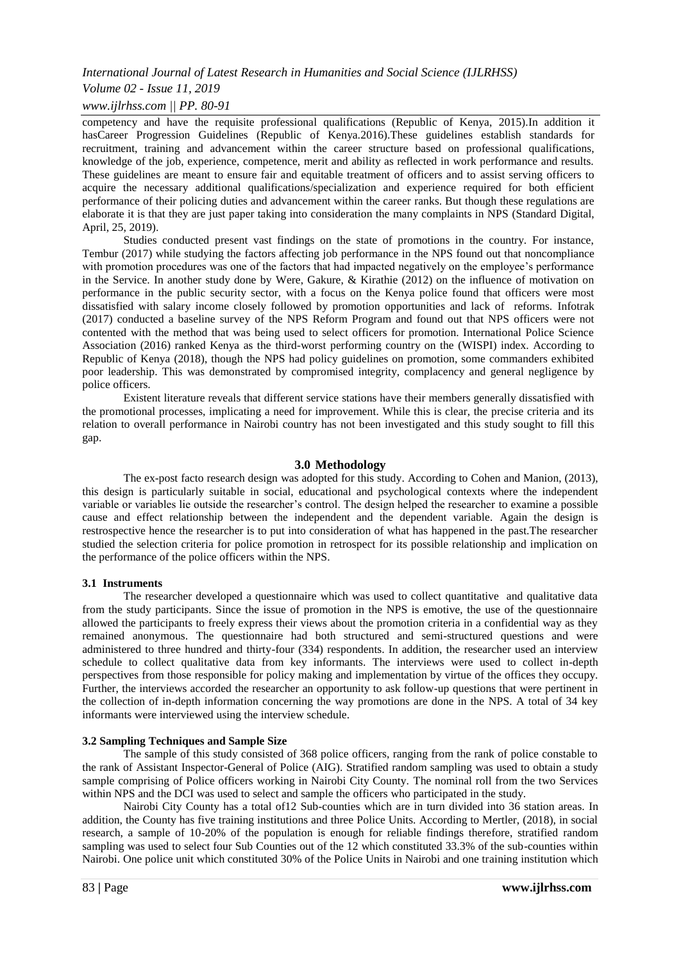# *Volume 02 - Issue 11, 2019*

*www.ijlrhss.com || PP. 80-91*

competency and have the requisite professional qualifications (Republic of Kenya, 2015).In addition it hasCareer Progression Guidelines (Republic of Kenya.2016).These guidelines establish standards for recruitment, training and advancement within the career structure based on professional qualifications, knowledge of the job, experience, competence, merit and ability as reflected in work performance and results. These guidelines are meant to ensure fair and equitable treatment of officers and to assist serving officers to acquire the necessary additional qualifications/specialization and experience required for both efficient performance of their policing duties and advancement within the career ranks. But though these regulations are elaborate it is that they are just paper taking into consideration the many complaints in NPS (Standard Digital, April, 25, 2019).

Studies conducted present vast findings on the state of promotions in the country. For instance, Tembur (2017) while studying the factors affecting job performance in the NPS found out that noncompliance with promotion procedures was one of the factors that had impacted negatively on the employee's performance in the Service. In another study done by Were, Gakure, & Kirathie (2012) on the influence of motivation on performance in the public security sector, with a focus on the Kenya police found that officers were most dissatisfied with salary income closely followed by promotion opportunities and lack of reforms. Infotrak (2017) conducted a baseline survey of the NPS Reform Program and found out that NPS officers were not contented with the method that was being used to select officers for promotion. International Police Science Association (2016) ranked Kenya as the third-worst performing country on the (WISPI) index. According to Republic of Kenya (2018), though the NPS had policy guidelines on promotion, some commanders exhibited poor leadership. This was demonstrated by compromised integrity, complacency and general negligence by police officers.

Existent literature reveals that different service stations have their members generally dissatisfied with the promotional processes, implicating a need for improvement. While this is clear, the precise criteria and its relation to overall performance in Nairobi country has not been investigated and this study sought to fill this gap.

#### **3.0 Methodology**

The ex-post facto research design was adopted for this study. According to Cohen and Manion, (2013), this design is particularly suitable in social, educational and psychological contexts where the independent variable or variables lie outside the researcher's control. The design helped the researcher to examine a possible cause and effect relationship between the independent and the dependent variable. Again the design is restrospective hence the researcher is to put into consideration of what has happened in the past.The researcher studied the selection criteria for police promotion in retrospect for its possible relationship and implication on the performance of the police officers within the NPS.

#### **3.1 Instruments**

The researcher developed a questionnaire which was used to collect quantitative and qualitative data from the study participants. Since the issue of promotion in the NPS is emotive, the use of the questionnaire allowed the participants to freely express their views about the promotion criteria in a confidential way as they remained anonymous. The questionnaire had both structured and semi-structured questions and were administered to three hundred and thirty-four (334) respondents. In addition, the researcher used an interview schedule to collect qualitative data from key informants. The interviews were used to collect in-depth perspectives from those responsible for policy making and implementation by virtue of the offices they occupy. Further, the interviews accorded the researcher an opportunity to ask follow-up questions that were pertinent in the collection of in-depth information concerning the way promotions are done in the NPS. A total of 34 key informants were interviewed using the interview schedule.

#### **3.2 Sampling Techniques and Sample Size**

The sample of this study consisted of 368 police officers, ranging from the rank of police constable to the rank of Assistant Inspector-General of Police (AIG). Stratified random sampling was used to obtain a study sample comprising of Police officers working in Nairobi City County. The nominal roll from the two Services within NPS and the DCI was used to select and sample the officers who participated in the study.

Nairobi City County has a total of12 Sub-counties which are in turn divided into 36 station areas. In addition, the County has five training institutions and three Police Units. According to Mertler, (2018), in social research, a sample of 10-20% of the population is enough for reliable findings therefore, stratified random sampling was used to select four Sub Counties out of the 12 which constituted 33.3% of the sub-counties within Nairobi. One police unit which constituted 30% of the Police Units in Nairobi and one training institution which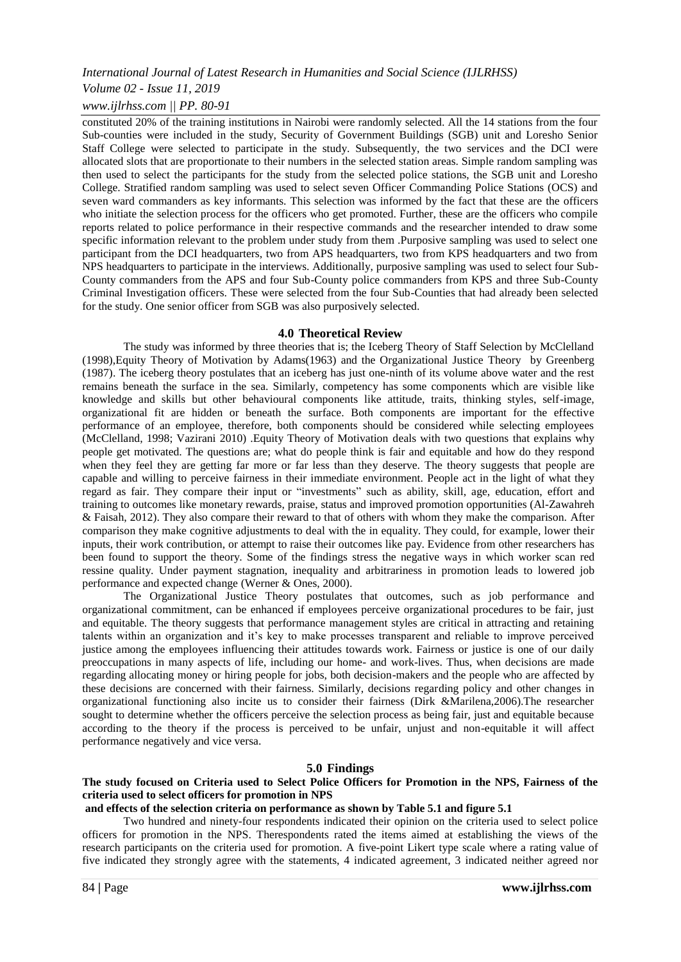*Volume 02 - Issue 11, 2019*

*www.ijlrhss.com || PP. 80-91*

constituted 20% of the training institutions in Nairobi were randomly selected. All the 14 stations from the four Sub-counties were included in the study, Security of Government Buildings (SGB) unit and Loresho Senior Staff College were selected to participate in the study. Subsequently, the two services and the DCI were allocated slots that are proportionate to their numbers in the selected station areas. Simple random sampling was then used to select the participants for the study from the selected police stations, the SGB unit and Loresho College. Stratified random sampling was used to select seven Officer Commanding Police Stations (OCS) and seven ward commanders as key informants. This selection was informed by the fact that these are the officers who initiate the selection process for the officers who get promoted. Further, these are the officers who compile reports related to police performance in their respective commands and the researcher intended to draw some specific information relevant to the problem under study from them .Purposive sampling was used to select one participant from the DCI headquarters, two from APS headquarters, two from KPS headquarters and two from NPS headquarters to participate in the interviews. Additionally, purposive sampling was used to select four Sub-County commanders from the APS and four Sub-County police commanders from KPS and three Sub-County Criminal Investigation officers. These were selected from the four Sub-Counties that had already been selected for the study. One senior officer from SGB was also purposively selected.

#### **4.0 Theoretical Review**

The study was informed by three theories that is; the Iceberg Theory of Staff Selection by McClelland (1998),Equity Theory of Motivation by Adams(1963) and the Organizational Justice Theory by Greenberg (1987). The iceberg theory postulates that an iceberg has just one-ninth of its volume above water and the rest remains beneath the surface in the sea. Similarly, competency has some components which are visible like knowledge and skills but other behavioural components like attitude, traits, thinking styles, self-image, organizational fit are hidden or beneath the surface. Both components are important for the effective performance of an employee, therefore, both components should be considered while selecting employees (McClelland, 1998; Vazirani 2010) .Equity Theory of Motivation deals with two questions that explains why people get motivated. The questions are; what do people think is fair and equitable and how do they respond when they feel they are getting far more or far less than they deserve. The theory suggests that people are capable and willing to perceive fairness in their immediate environment. People act in the light of what they regard as fair. They compare their input or "investments" such as ability, skill, age, education, effort and training to outcomes like monetary rewards, praise, status and improved promotion opportunities (Al-Zawahreh & Faisah, 2012). They also compare their reward to that of others with whom they make the comparison. After comparison they make cognitive adjustments to deal with the in equality. They could, for example, lower their inputs, their work contribution, or attempt to raise their outcomes like pay. Evidence from other researchers has been found to support the theory. Some of the findings stress the negative ways in which worker scan red ressine quality. Under payment stagnation, inequality and arbitrariness in promotion leads to lowered job performance and expected change (Werner & Ones, 2000).

The Organizational Justice Theory postulates that outcomes, such as job performance and organizational commitment, can be enhanced if employees perceive organizational procedures to be fair, just and equitable. The theory suggests that performance management styles are critical in attracting and retaining talents within an organization and it's key to make processes transparent and reliable to improve perceived justice among the employees influencing their attitudes towards work. Fairness or justice is one of our daily preoccupations in many aspects of life, including our home- and work-lives. Thus, when decisions are made regarding allocating money or hiring people for jobs, both decision-makers and the people who are affected by these decisions are concerned with their fairness. Similarly, decisions regarding policy and other changes in organizational functioning also incite us to consider their fairness (Dirk &Marilena,2006).The researcher sought to determine whether the officers perceive the selection process as being fair, just and equitable because according to the theory if the process is perceived to be unfair, unjust and non-equitable it will affect performance negatively and vice versa.

#### **5.0 Findings**

# **The study focused on Criteria used to Select Police Officers for Promotion in the NPS, Fairness of the criteria used to select officers for promotion in NPS**

# **and effects of the selection criteria on performance as shown by Table 5.1 and figure 5.1**

Two hundred and ninety-four respondents indicated their opinion on the criteria used to select police officers for promotion in the NPS. Therespondents rated the items aimed at establishing the views of the research participants on the criteria used for promotion. A five-point Likert type scale where a rating value of five indicated they strongly agree with the statements, 4 indicated agreement, 3 indicated neither agreed nor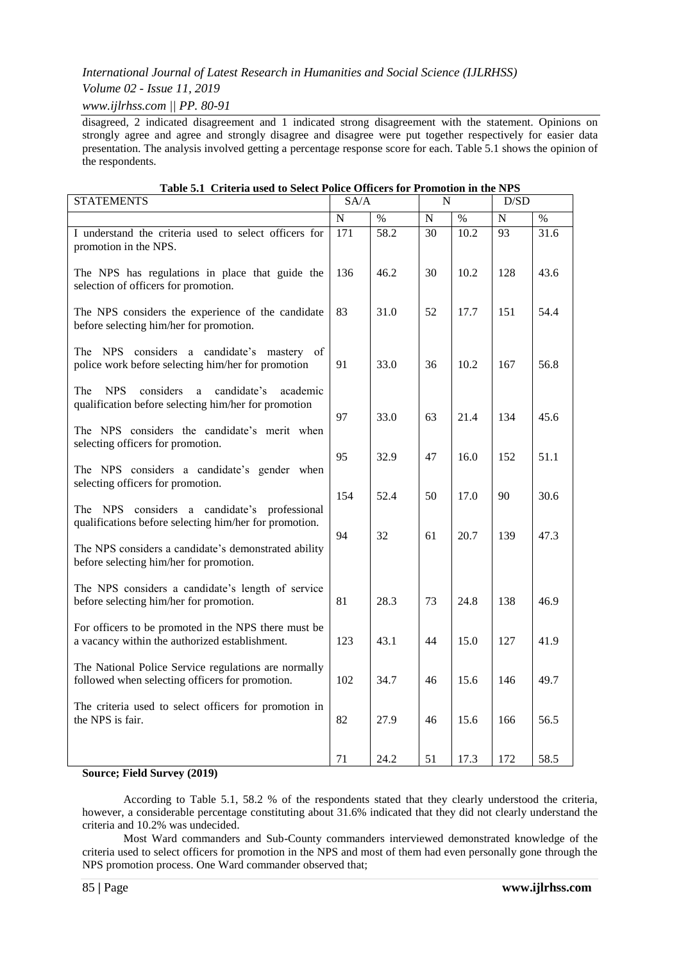# *Volume 02 - Issue 11, 2019*

*www.ijlrhss.com || PP. 80-91*

disagreed, 2 indicated disagreement and 1 indicated strong disagreement with the statement. Opinions on strongly agree and agree and strongly disagree and disagree were put together respectively for easier data presentation. The analysis involved getting a percentage response score for each. Table 5.1 shows the opinion of the respondents.

| <b>STATEMENTS</b>                                                                                                      | SA/A             |                   | N               |      | D/SD            |      |
|------------------------------------------------------------------------------------------------------------------------|------------------|-------------------|-----------------|------|-----------------|------|
|                                                                                                                        | ${\bf N}$        | $\%$              | $\mathbf N$     | $\%$ | ${\bf N}$       | $\%$ |
| I understand the criteria used to select officers for<br>promotion in the NPS.                                         | $\overline{171}$ | $\overline{58.2}$ | $\overline{30}$ | 10.2 | $\overline{93}$ | 31.6 |
| The NPS has regulations in place that guide the<br>selection of officers for promotion.                                | 136              | 46.2              | 30              | 10.2 | 128             | 43.6 |
| The NPS considers the experience of the candidate<br>before selecting him/her for promotion.                           | 83               | 31.0              | 52              | 17.7 | 151             | 54.4 |
| The NPS considers a candidate's mastery of<br>police work before selecting him/her for promotion                       | 91               | 33.0              | 36              | 10.2 | 167             | 56.8 |
| considers<br>The<br><b>NPS</b><br>candidate's<br>a<br>academic<br>qualification before selecting him/her for promotion | 97               | 33.0              | 63              | 21.4 | 134             | 45.6 |
| The NPS considers the candidate's merit when<br>selecting officers for promotion.                                      |                  |                   |                 |      |                 |      |
| The NPS considers a candidate's gender when<br>selecting officers for promotion.                                       | 95               | 32.9              | 47              | 16.0 | 152             | 51.1 |
| The NPS<br>considers a candidate's professional<br>qualifications before selecting him/her for promotion.              | 154              | 52.4              | 50              | 17.0 | 90              | 30.6 |
| The NPS considers a candidate's demonstrated ability<br>before selecting him/her for promotion.                        | 94               | 32                | 61              | 20.7 | 139             | 47.3 |
| The NPS considers a candidate's length of service<br>before selecting him/her for promotion.                           | 81               | 28.3              | 73              | 24.8 | 138             | 46.9 |
| For officers to be promoted in the NPS there must be<br>a vacancy within the authorized establishment.                 | 123              | 43.1              | 44              | 15.0 | 127             | 41.9 |
| The National Police Service regulations are normally<br>followed when selecting officers for promotion.                | 102              | 34.7              | 46              | 15.6 | 146             | 49.7 |
| The criteria used to select officers for promotion in<br>the NPS is fair.                                              | 82               | 27.9              | 46              | 15.6 | 166             | 56.5 |
|                                                                                                                        | 71               | 24.2              | 51              | 17.3 | 172             | 58.5 |

#### **Table 5.1 Criteria used to Select Police Officers for Promotion in the NPS**

# **Source; Field Survey (2019)**

According to Table 5.1, 58.2 % of the respondents stated that they clearly understood the criteria, however, a considerable percentage constituting about 31.6% indicated that they did not clearly understand the criteria and 10.2% was undecided.

Most Ward commanders and Sub-County commanders interviewed demonstrated knowledge of the criteria used to select officers for promotion in the NPS and most of them had even personally gone through the NPS promotion process. One Ward commander observed that;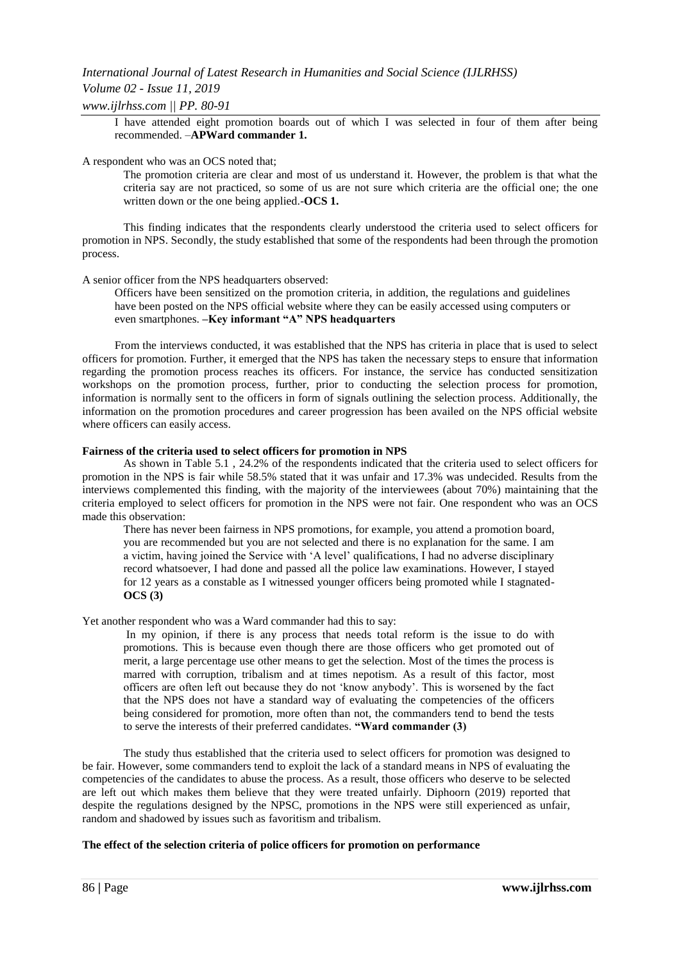# *Volume 02 - Issue 11, 2019*

*www.ijlrhss.com || PP. 80-91*

I have attended eight promotion boards out of which I was selected in four of them after being recommended. –**APWard commander 1.**

# A respondent who was an OCS noted that;

The promotion criteria are clear and most of us understand it. However, the problem is that what the criteria say are not practiced, so some of us are not sure which criteria are the official one; the one written down or the one being applied.-**OCS 1.**

This finding indicates that the respondents clearly understood the criteria used to select officers for promotion in NPS. Secondly, the study established that some of the respondents had been through the promotion process.

A senior officer from the NPS headquarters observed:

Officers have been sensitized on the promotion criteria, in addition, the regulations and guidelines have been posted on the NPS official website where they can be easily accessed using computers or even smartphones. **–Key informant "A" NPS headquarters**

From the interviews conducted, it was established that the NPS has criteria in place that is used to select officers for promotion. Further, it emerged that the NPS has taken the necessary steps to ensure that information regarding the promotion process reaches its officers. For instance, the service has conducted sensitization workshops on the promotion process, further, prior to conducting the selection process for promotion, information is normally sent to the officers in form of signals outlining the selection process. Additionally, the information on the promotion procedures and career progression has been availed on the NPS official website where officers can easily access.

### **Fairness of the criteria used to select officers for promotion in NPS**

As shown in Table 5.1 , 24.2% of the respondents indicated that the criteria used to select officers for promotion in the NPS is fair while 58.5% stated that it was unfair and 17.3% was undecided. Results from the interviews complemented this finding, with the majority of the interviewees (about 70%) maintaining that the criteria employed to select officers for promotion in the NPS were not fair. One respondent who was an OCS made this observation:

There has never been fairness in NPS promotions, for example, you attend a promotion board, you are recommended but you are not selected and there is no explanation for the same. I am a victim, having joined the Service with 'A level' qualifications, I had no adverse disciplinary record whatsoever, I had done and passed all the police law examinations. However, I stayed for 12 years as a constable as I witnessed younger officers being promoted while I stagnated-**OCS (3)** 

Yet another respondent who was a Ward commander had this to say:

In my opinion, if there is any process that needs total reform is the issue to do with promotions. This is because even though there are those officers who get promoted out of merit, a large percentage use other means to get the selection. Most of the times the process is marred with corruption, tribalism and at times nepotism. As a result of this factor, most officers are often left out because they do not ‗know anybody'. This is worsened by the fact that the NPS does not have a standard way of evaluating the competencies of the officers being considered for promotion, more often than not, the commanders tend to bend the tests to serve the interests of their preferred candidates. **"Ward commander (3)**

The study thus established that the criteria used to select officers for promotion was designed to be fair. However, some commanders tend to exploit the lack of a standard means in NPS of evaluating the competencies of the candidates to abuse the process. As a result, those officers who deserve to be selected are left out which makes them believe that they were treated unfairly. Diphoorn (2019) reported that despite the regulations designed by the NPSC, promotions in the NPS were still experienced as unfair, random and shadowed by issues such as favoritism and tribalism.

# **The effect of the selection criteria of police officers for promotion on performance**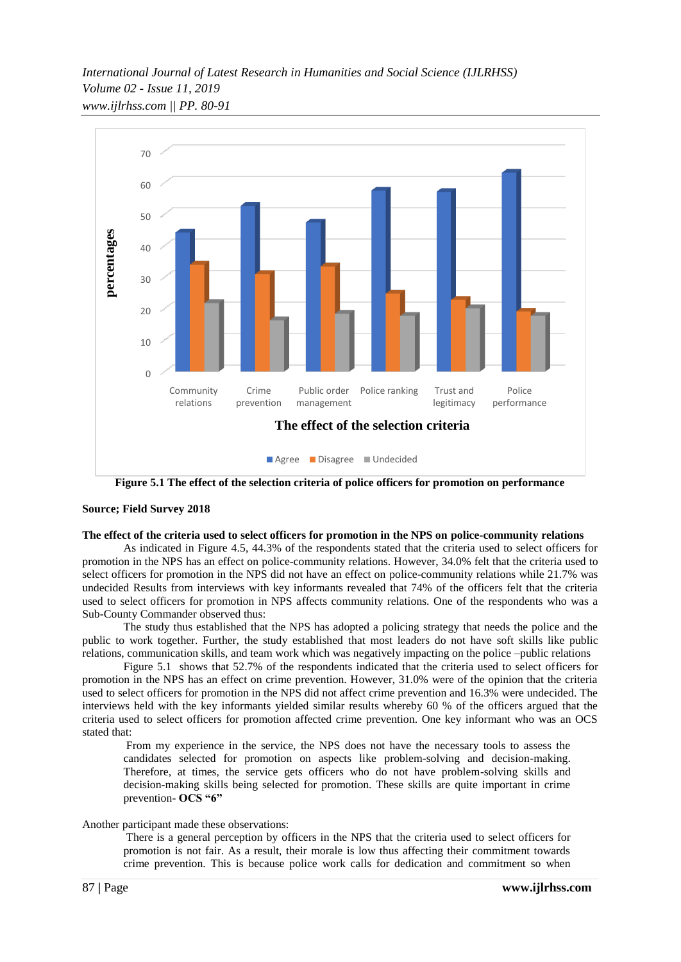*International Journal of Latest Research in Humanities and Social Science (IJLRHSS) Volume 02 - Issue 11, 2019 www.ijlrhss.com || PP. 80-91*



**Figure 5.1 The effect of the selection criteria of police officers for promotion on performance**

#### **Source; Field Survey 2018**

#### **The effect of the criteria used to select officers for promotion in the NPS on police-community relations**

As indicated in Figure 4.5, 44.3% of the respondents stated that the criteria used to select officers for promotion in the NPS has an effect on police-community relations. However, 34.0% felt that the criteria used to select officers for promotion in the NPS did not have an effect on police-community relations while 21.7% was undecided Results from interviews with key informants revealed that 74% of the officers felt that the criteria used to select officers for promotion in NPS affects community relations. One of the respondents who was a Sub-County Commander observed thus:

The study thus established that the NPS has adopted a policing strategy that needs the police and the public to work together. Further, the study established that most leaders do not have soft skills like public relations, communication skills, and team work which was negatively impacting on the police –public relations

Figure 5.1 shows that 52.7% of the respondents indicated that the criteria used to select officers for promotion in the NPS has an effect on crime prevention. However, 31.0% were of the opinion that the criteria used to select officers for promotion in the NPS did not affect crime prevention and 16.3% were undecided. The interviews held with the key informants yielded similar results whereby 60 % of the officers argued that the criteria used to select officers for promotion affected crime prevention. One key informant who was an OCS stated that:

From my experience in the service, the NPS does not have the necessary tools to assess the candidates selected for promotion on aspects like problem-solving and decision-making. Therefore, at times, the service gets officers who do not have problem-solving skills and decision-making skills being selected for promotion. These skills are quite important in crime prevention- **OCS "6"**

Another participant made these observations:

There is a general perception by officers in the NPS that the criteria used to select officers for promotion is not fair. As a result, their morale is low thus affecting their commitment towards crime prevention. This is because police work calls for dedication and commitment so when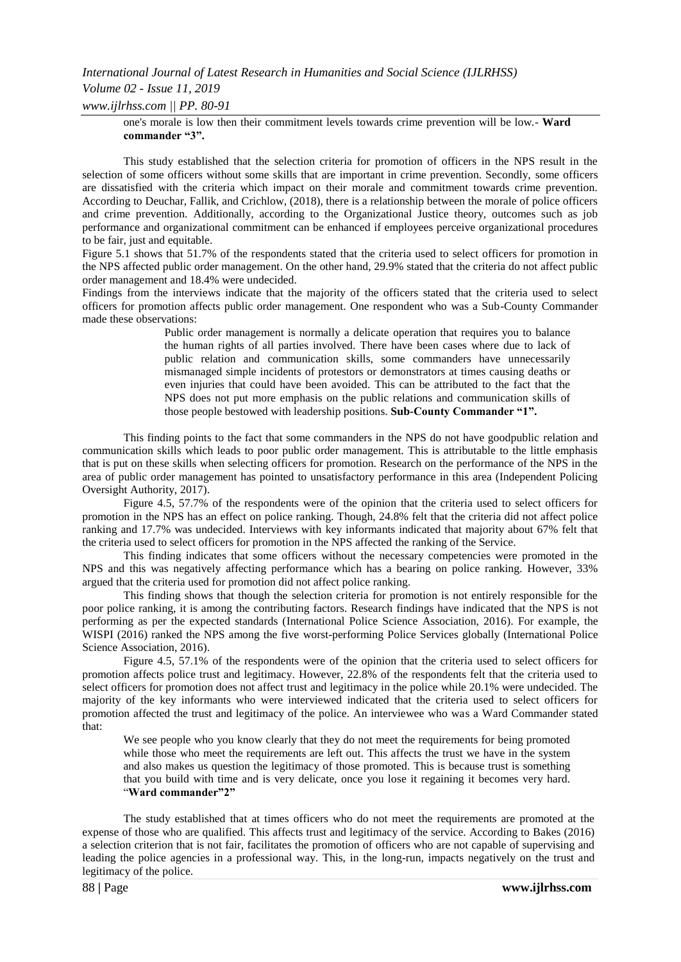# *International Journal of Latest Research in Humanities and Social Science (IJLRHSS) Volume 02 - Issue 11, 2019 www.ijlrhss.com || PP. 80-91*

one's morale is low then their commitment levels towards crime prevention will be low.- **Ward commander "3".**

This study established that the selection criteria for promotion of officers in the NPS result in the selection of some officers without some skills that are important in crime prevention. Secondly, some officers are dissatisfied with the criteria which impact on their morale and commitment towards crime prevention. According to Deuchar, Fallik, and Crichlow, (2018), there is a relationship between the morale of police officers and crime prevention. Additionally, according to the Organizational Justice theory, outcomes such as job performance and organizational commitment can be enhanced if employees perceive organizational procedures to be fair, just and equitable.

Figure 5.1 shows that 51.7% of the respondents stated that the criteria used to select officers for promotion in the NPS affected public order management. On the other hand, 29.9% stated that the criteria do not affect public order management and 18.4% were undecided.

Findings from the interviews indicate that the majority of the officers stated that the criteria used to select officers for promotion affects public order management. One respondent who was a Sub-County Commander made these observations:

> Public order management is normally a delicate operation that requires you to balance the human rights of all parties involved. There have been cases where due to lack of public relation and communication skills, some commanders have unnecessarily mismanaged simple incidents of protestors or demonstrators at times causing deaths or even injuries that could have been avoided. This can be attributed to the fact that the NPS does not put more emphasis on the public relations and communication skills of those people bestowed with leadership positions. **Sub-County Commander "1".**

This finding points to the fact that some commanders in the NPS do not have goodpublic relation and communication skills which leads to poor public order management. This is attributable to the little emphasis that is put on these skills when selecting officers for promotion. Research on the performance of the NPS in the area of public order management has pointed to unsatisfactory performance in this area (Independent Policing Oversight Authority, 2017).

Figure 4.5, 57.7% of the respondents were of the opinion that the criteria used to select officers for promotion in the NPS has an effect on police ranking. Though, 24.8% felt that the criteria did not affect police ranking and 17.7% was undecided. Interviews with key informants indicated that majority about 67% felt that the criteria used to select officers for promotion in the NPS affected the ranking of the Service.

This finding indicates that some officers without the necessary competencies were promoted in the NPS and this was negatively affecting performance which has a bearing on police ranking. However, 33% argued that the criteria used for promotion did not affect police ranking.

This finding shows that though the selection criteria for promotion is not entirely responsible for the poor police ranking, it is among the contributing factors. Research findings have indicated that the NPS is not performing as per the expected standards (International Police Science Association, 2016). For example, the WISPI (2016) ranked the NPS among the five worst-performing Police Services globally (International Police Science Association, 2016).

Figure 4.5, 57.1% of the respondents were of the opinion that the criteria used to select officers for promotion affects police trust and legitimacy. However, 22.8% of the respondents felt that the criteria used to select officers for promotion does not affect trust and legitimacy in the police while 20.1% were undecided. The majority of the key informants who were interviewed indicated that the criteria used to select officers for promotion affected the trust and legitimacy of the police. An interviewee who was a Ward Commander stated that:

We see people who you know clearly that they do not meet the requirements for being promoted while those who meet the requirements are left out. This affects the trust we have in the system and also makes us question the legitimacy of those promoted. This is because trust is something that you build with time and is very delicate, once you lose it regaining it becomes very hard. ―**Ward commander"2"**

The study established that at times officers who do not meet the requirements are promoted at the expense of those who are qualified. This affects trust and legitimacy of the service. According to Bakes (2016) a selection criterion that is not fair, facilitates the promotion of officers who are not capable of supervising and leading the police agencies in a professional way. This, in the long-run, impacts negatively on the trust and legitimacy of the police.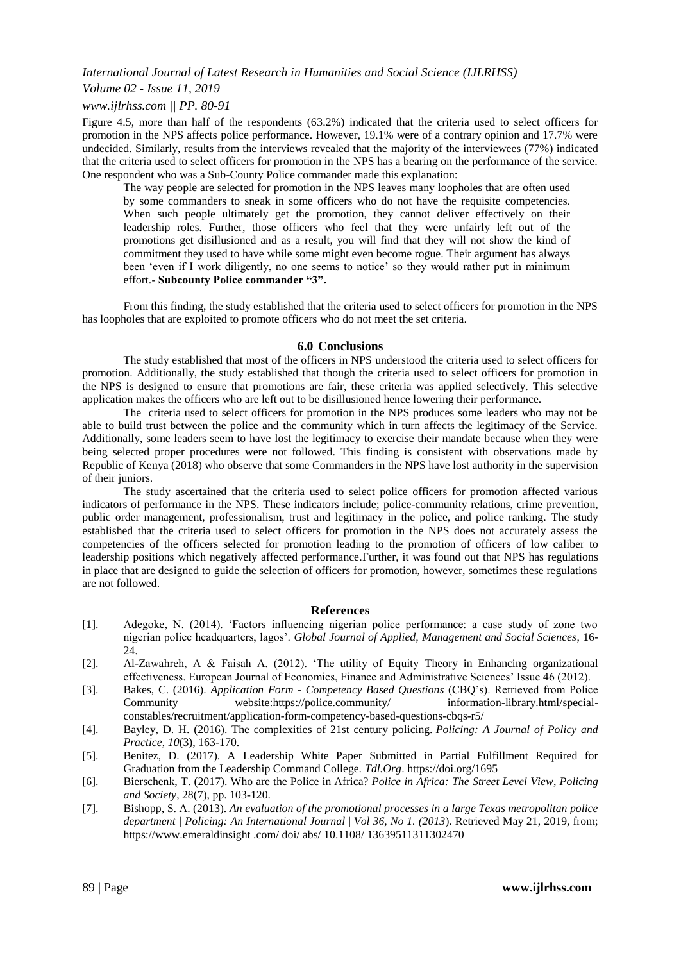# *Volume 02 - Issue 11, 2019*

# *www.ijlrhss.com || PP. 80-91*

Figure 4.5, more than half of the respondents (63.2%) indicated that the criteria used to select officers for promotion in the NPS affects police performance. However, 19.1% were of a contrary opinion and 17.7% were undecided. Similarly, results from the interviews revealed that the majority of the interviewees (77%) indicated that the criteria used to select officers for promotion in the NPS has a bearing on the performance of the service. One respondent who was a Sub-County Police commander made this explanation:

The way people are selected for promotion in the NPS leaves many loopholes that are often used by some commanders to sneak in some officers who do not have the requisite competencies. When such people ultimately get the promotion, they cannot deliver effectively on their leadership roles. Further, those officers who feel that they were unfairly left out of the promotions get disillusioned and as a result, you will find that they will not show the kind of commitment they used to have while some might even become rogue. Their argument has always been 'even if I work diligently, no one seems to notice' so they would rather put in minimum effort.- **Subcounty Police commander "3".**

From this finding, the study established that the criteria used to select officers for promotion in the NPS has loopholes that are exploited to promote officers who do not meet the set criteria.

#### **6.0 Conclusions**

The study established that most of the officers in NPS understood the criteria used to select officers for promotion. Additionally, the study established that though the criteria used to select officers for promotion in the NPS is designed to ensure that promotions are fair, these criteria was applied selectively. This selective application makes the officers who are left out to be disillusioned hence lowering their performance.

The criteria used to select officers for promotion in the NPS produces some leaders who may not be able to build trust between the police and the community which in turn affects the legitimacy of the Service. Additionally, some leaders seem to have lost the legitimacy to exercise their mandate because when they were being selected proper procedures were not followed. This finding is consistent with observations made by Republic of Kenya (2018) who observe that some Commanders in the NPS have lost authority in the supervision of their juniors.

The study ascertained that the criteria used to select police officers for promotion affected various indicators of performance in the NPS. These indicators include; police-community relations, crime prevention, public order management, professionalism, trust and legitimacy in the police, and police ranking. The study established that the criteria used to select officers for promotion in the NPS does not accurately assess the competencies of the officers selected for promotion leading to the promotion of officers of low caliber to leadership positions which negatively affected performance.Further, it was found out that NPS has regulations in place that are designed to guide the selection of officers for promotion, however, sometimes these regulations are not followed.

#### **References**

- [1]. Adegoke, N. (2014). ‗Factors influencing nigerian police performance: a case study of zone two nigerian police headquarters, lagos'. *Global Journal of Applied, Management and Social Sciences*, 16- 24.
- [2]. Al-Zawahreh, A & Faisah A. (2012). ‗The utility of Equity Theory in Enhancing organizational effectiveness. European Journal of Economics, Finance and Administrative Sciences' Issue 46 (2012).
- [3]. Bakes, C. (2016). *Application Form Competency Based Questions* (CBQ's). Retrieved from Police Community website[:https://police.community/ information-library.html/special](https://police.community/%20information-library.html/special-constables/recruitment/application-form-competency-based-questions-cbqs-r5/)[constables/recruitment/application-form-competency-based-questions-cbqs-r5/](https://police.community/%20information-library.html/special-constables/recruitment/application-form-competency-based-questions-cbqs-r5/)
- [4]. Bayley, D. H. (2016). The complexities of 21st century policing. *Policing: A Journal of Policy and Practice*, *10*(3), 163-170.
- [5]. Benitez, D. (2017). A Leadership White Paper Submitted in Partial Fulfillment Required for Graduation from the Leadership Command College. *Tdl.Org*.<https://doi.org/1695>
- [6]. Bierschenk, T. (2017). Who are the Police in Africa? *Police in Africa: The Street Level View*, *Policing and Society*, 28(7), pp. 103-120.
- [7]. Bishopp, S. A. (2013). *An evaluation of the promotional processes in a large Texas metropolitan police department | Policing: An International Journal* | *Vol 36, No 1. (2013*). Retrieved May 21, 2019, from; https://www.emeraldinsight .com/ doi/ abs/ 10.1108/ 13639511311302470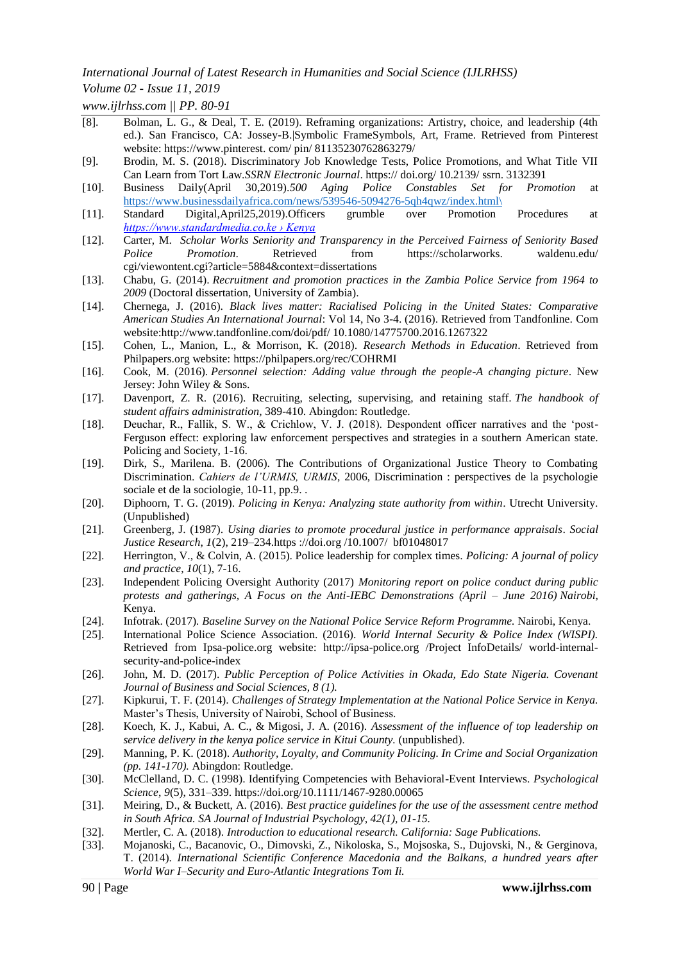# *Volume 02 - Issue 11, 2019*

*www.ijlrhss.com || PP. 80-91*

- [8]. Bolman, L. G., & Deal, T. E. (2019). Reframing organizations: Artistry, choice, and leadership (4th ed.). San Francisco, CA: Jossey-B. Symbolic FrameSymbols, Art, Frame. Retrieved from Pinterest website: https://www.pinterest. com/ pin/ 81135230762863279/
- [9]. Brodin, M. S. (2018). Discriminatory Job Knowledge Tests, Police Promotions, and What Title VII Can Learn from Tort Law.*SSRN Electronic Journal*. https:// doi.org/ 10.2139/ ssrn. 3132391
- [10]. Business Daily(April 30,2019).*500 Aging Police Constables Set for Promotion* at [https://www.businessdailyafrica.com/news/539546-5094276-5qh4qwz/index.html\](https://www.businessdailyafrica.com/news/539546-5094276-5qh4qwz/index.html/)
- [11]. Standard Digital,April25,2019).Officers grumble over Promotion Procedures at *[https://www.standardmedia.co.ke › Kenya](https://www.google.com/url?sa=t&rct=j&q=&esrc=s&source=web&cd=4&cad=rja&uact=8&ved=2ahUKEwjzl5HozcPlAhVB2-AKHeGwAG0QFjADegQIABAB&url=https%3A%2F%2Fwww.standardmedia.co.ke%2Farticle%2F2001322543%2Fofficers-grumble-over-promotion-procedure&usg=AOvVaw1XgVeuNPuwxiSWetbUKSme)*
- [12]. Carter, M. *Scholar Works Seniority and Transparency in the Perceived Fairness of Seniority Based Police Promotion*. Retrieved from [https://scholarworks.](https://scholarworks/) waldenu.edu/ cgi/viewontent.cgi?article=5884&context=dissertations
- [13]. Chabu, G. (2014). *Recruitment and promotion practices in the Zambia Police Service from 1964 to 2009* (Doctoral dissertation, University of Zambia).
- [14]. Chernega, J. (2016). *Black lives matter: Racialised Policing in the United States: Comparative American Studies An International Journal*: Vol 14, No 3-4. (2016). Retrieved from Tandfonline. Com website:http://www.tandfonline.com/doi/pdf/ 10.1080/14775700.2016.1267322
- [15]. Cohen, L., Manion, L., & Morrison, K. (2018). *Research Methods in Education*. Retrieved from Philpapers.org website:<https://philpapers.org/rec/COHRMI>
- [16]. Cook, M. (2016). *Personnel selection: Adding value through the people-A changing picture*. New Jersey: John Wiley & Sons.
- [17]. Davenport, Z. R. (2016). Recruiting, selecting, supervising, and retaining staff. *The handbook of student affairs administration,* 389-410. Abingdon: Routledge.
- [18]. Deuchar, R., Fallik, S. W., & Crichlow, V. J. (2018). Despondent officer narratives and the 'post-Ferguson effect: exploring law enforcement perspectives and strategies in a southern American state. Policing and Society, 1-16.
- [19]. Dirk, S., Marilena. B. (2006). The Contributions of Organizational Justice Theory to Combating Discrimination. *Cahiers de l'URMIS, URMIS*, 2006, Discrimination : perspectives de la psychologie sociale et de la sociologie, 10-11, pp.9. .
- [20]. Diphoorn, T. G. (2019). *Policing in Kenya: Analyzing state authority from within*. Utrecht University. (Unpublished)
- [21]. Greenberg, J. (1987). *Using diaries to promote procedural justice in performance appraisals*. *Social Justice Research*, *1*(2), 219–23[4.https ://doi.org /10.1007/ bf01048017](https://doi.org/10.1007/bf01048017)
- [22]. Herrington, V., & Colvin, A. (2015). Police leadership for complex times. *Policing: A journal of policy and practice*, *10*(1), 7-16.
- [23]. Independent Policing Oversight Authority (2017) *Monitoring report on police conduct during public protests and gatherings, A Focus on the Anti-IEBC Demonstrations (April – June 2016) Nairobi*, Kenya.
- [24]. Infotrak. (2017)*. Baseline Survey on the National Police Service Reform Programme.* Nairobi, Kenya.
- [25]. International Police Science Association. (2016). *World Internal Security & Police Index (WISPI).* Retrieved from Ipsa-police.org website: [http://ipsa-police.org](http://ipsa-police.org/) /Project InfoDetails/ world-internalsecurity-and-police-index
- [26]. John, M. D. (2017). *Public Perception of Police Activities in Okada, Edo State Nigeria. Covenant Journal of Business and Social Sciences, 8 (1).*
- [27]. Kipkurui, T. F. (2014). *Challenges of Strategy Implementation at the National Police Service in Kenya.*  Master's Thesis, University of Nairobi, School of Business.
- [28]. Koech, K. J., Kabui, A. C., & Migosi, J. A. (2016). *Assessment of the influence of top leadership on service delivery in the kenya police service in Kitui County.* (unpublished).
- [29]. Manning, P. K. (2018). *Authority, Loyalty, and Community Policing. In Crime and Social Organization (pp. 141-170).* Abingdon: Routledge.
- [30]. McClelland, D. C. (1998). Identifying Competencies with Behavioral-Event Interviews. *Psychological Science*, *9*(5), 331–339.<https://doi.org/10.1111/1467-9280.00065>
- [31]. Meiring, D., & Buckett, A. (2016). *Best practice guidelines for the use of the assessment centre method in South Africa. SA Journal of Industrial Psychology, 42(1), 01-15.*
- [32]. Mertler, C. A. (2018). *Introduction to educational research. California: Sage Publications.*
- [33]. Mojanoski, C., Bacanovic, O., Dimovski, Z., Nikoloska, S., Mojsoska, S., Dujovski, N., & Gerginova, T. (2014). *International Scientific Conference Macedonia and the Balkans, a hundred years after World War I–Security and Euro-Atlantic Integrations Tom Ii.*